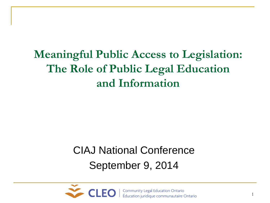**Meaningful Public Access to Legislation: The Role of Public Legal Education and Information** 

#### CIAJ National Conference September 9, 2014

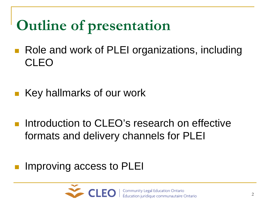# **Outline of presentation**

- Role and work of PLEI organizations, including CLEO
- Key hallmarks of our work
- **Introduction to CLEO's research on effective** formats and delivery channels for PLEI

#### Improving access to PLEI

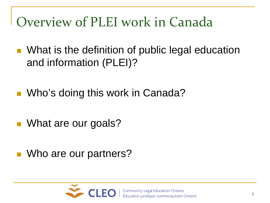## Overview of PLEI work in Canada

- What is the definition of public legal education and information (PLEI)?
- **No's doing this work in Canada?**
- What are our goals?
- Who are our partners?

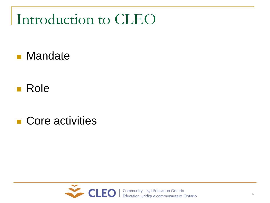### Introduction to CLEO

- **Nandate**
- **Role**
- Core activities

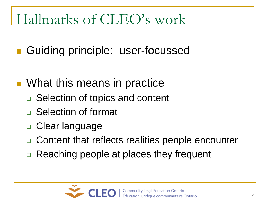## Hallmarks of CLEO's work

- Guiding principle: user-focussed
- What this means in practice
	- **□** Selection of topics and content
	- □ Selection of format
	- **□ Clear language**
	- Content that reflects realities people encounter
	- **□ Reaching people at places they frequent**

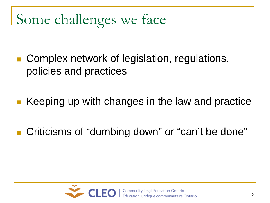# Some challenges we face

- Complex network of legislation, regulations, policies and practices
- Keeping up with changes in the law and practice
- Criticisms of "dumbing down" or "can't be done"

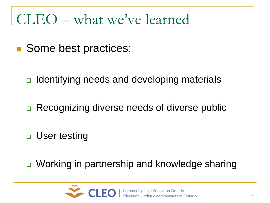#### CLEO – what we've learned

- Some best practices:
	- **□** Identifying needs and developing materials
	- **□ Recognizing diverse needs of diverse public**
	- **□** User testing
	- **□** Working in partnership and knowledge sharing

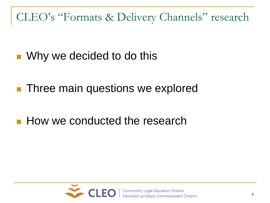CLEO's "Formats & Delivery Channels" research

- Why we decided to do this
- **Three main questions we explored**
- How we conducted the research

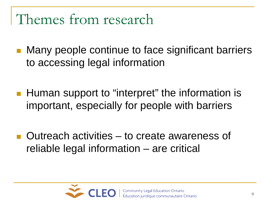#### Themes from research

- Many people continue to face significant barriers to accessing legal information
- **Human support to "interpret" the information is** important, especially for people with barriers
- Outreach activities to create awareness of reliable legal information – are critical

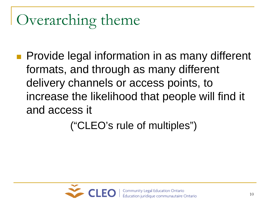# Overarching theme

**Provide legal information in as many different** formats, and through as many different delivery channels or access points, to increase the likelihood that people will find it and access it

("CLEO's rule of multiples")

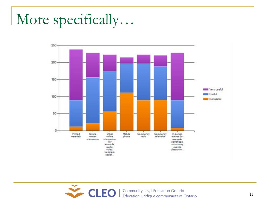## More specifically…



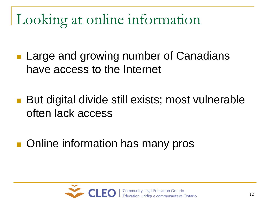Looking at online information

**Large and growing number of Canadians** have access to the Internet

- But digital divide still exists; most vulnerable often lack access
- Online information has many pros

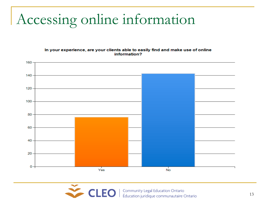## Accessing online information

In your experience, are your clients able to easily find and make use of online information?



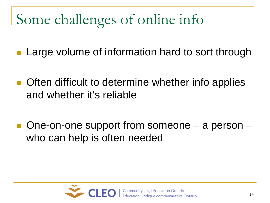# Some challenges of online info

- Large volume of information hard to sort through
- **Often difficult to determine whether info applies** and whether it's reliable
- One-on-one support from someone a person who can help is often needed

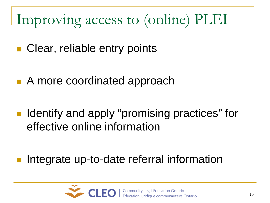# Improving access to (online) PLEI

- Clear, reliable entry points
- A more coordinated approach
- Identify and apply "promising practices" for effective online information
- Integrate up-to-date referral information

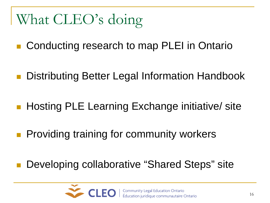# What CLEO's doing

- Conducting research to map PLEI in Ontario
- Distributing Better Legal Information Handbook
- Hosting PLE Learning Exchange initiative/ site
- **Providing training for community workers**
- Developing collaborative "Shared Steps" site

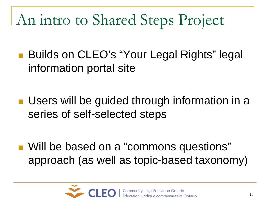# An intro to Shared Steps Project

- Builds on CLEO's "Your Legal Rights" legal information portal site
- **Users will be guided through information in a** series of self-selected steps

■ Will be based on a "commons questions" approach (as well as topic-based taxonomy)